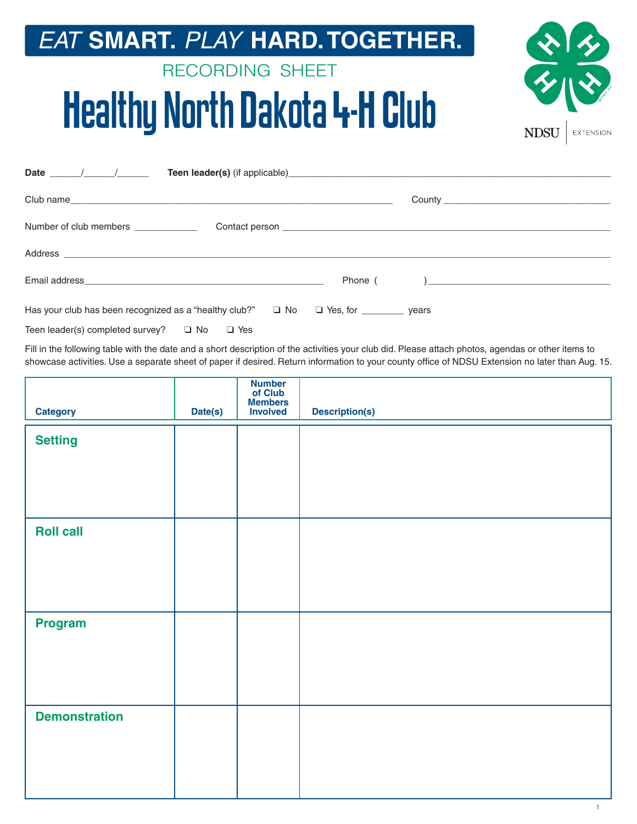### *EAT* **SMART.** *PLAY* **HARD. TOGETHER.**

## RECORDING SHEET Healthy North Dakota 4-H Club



| Date $\frac{1}{\sqrt{1-\frac{1}{2}}}\left(1-\frac{1}{2}\right)$                                    |  |
|----------------------------------------------------------------------------------------------------|--|
|                                                                                                    |  |
| Number of club members                                                                             |  |
|                                                                                                    |  |
|                                                                                                    |  |
| Has your club has been recognized as a "healthy club?" $\Box$ No $\Box$ Yes, for ___________ years |  |

| Teen leader(s) completed survey? | □ No | $\square$ Yes |
|----------------------------------|------|---------------|
|----------------------------------|------|---------------|

Fill in the following table with the date and a short description of the activities your club did. Please attach photos, agendas or other items to showcase activities. Use a separate sheet of paper if desired. Return information to your county office of NDSU Extension no later than Aug. 15.

| <b>Category</b>      | Date(s) | Number<br>of Club<br>Members<br>Involved | <b>Description(s)</b> |
|----------------------|---------|------------------------------------------|-----------------------|
| <b>Setting</b>       |         |                                          |                       |
|                      |         |                                          |                       |
|                      |         |                                          |                       |
| <b>Roll call</b>     |         |                                          |                       |
|                      |         |                                          |                       |
|                      |         |                                          |                       |
| <b>Program</b>       |         |                                          |                       |
|                      |         |                                          |                       |
|                      |         |                                          |                       |
| <b>Demonstration</b> |         |                                          |                       |
|                      |         |                                          |                       |
|                      |         |                                          |                       |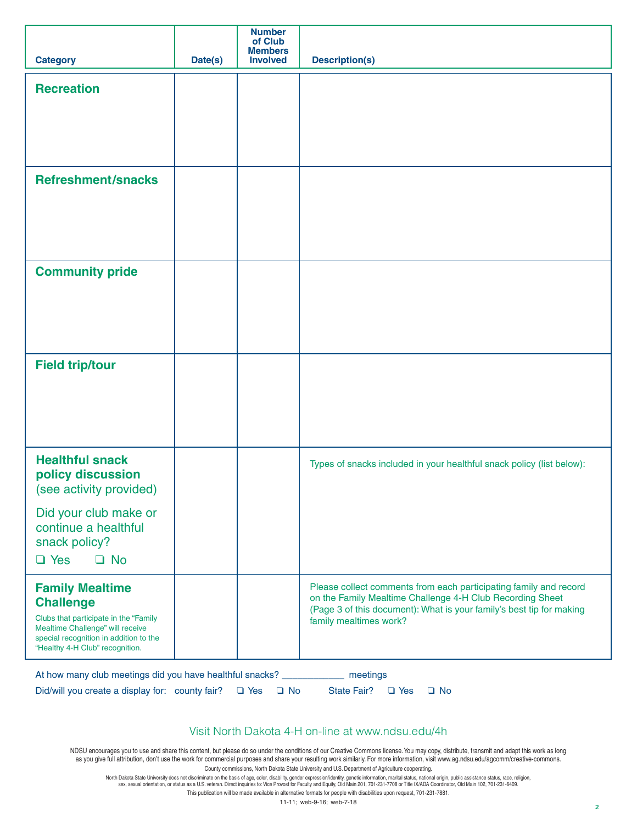| <b>Category</b>                                                                                                                                                                                      | Date(s) | <b>Number</b><br>of Club<br><b>Members</b><br><b>Involved</b> | <b>Description(s)</b>                                                                                                                                                                                                            |
|------------------------------------------------------------------------------------------------------------------------------------------------------------------------------------------------------|---------|---------------------------------------------------------------|----------------------------------------------------------------------------------------------------------------------------------------------------------------------------------------------------------------------------------|
| <b>Recreation</b>                                                                                                                                                                                    |         |                                                               |                                                                                                                                                                                                                                  |
|                                                                                                                                                                                                      |         |                                                               |                                                                                                                                                                                                                                  |
|                                                                                                                                                                                                      |         |                                                               |                                                                                                                                                                                                                                  |
| <b>Refreshment/snacks</b>                                                                                                                                                                            |         |                                                               |                                                                                                                                                                                                                                  |
|                                                                                                                                                                                                      |         |                                                               |                                                                                                                                                                                                                                  |
|                                                                                                                                                                                                      |         |                                                               |                                                                                                                                                                                                                                  |
| <b>Community pride</b>                                                                                                                                                                               |         |                                                               |                                                                                                                                                                                                                                  |
|                                                                                                                                                                                                      |         |                                                               |                                                                                                                                                                                                                                  |
|                                                                                                                                                                                                      |         |                                                               |                                                                                                                                                                                                                                  |
| <b>Field trip/tour</b>                                                                                                                                                                               |         |                                                               |                                                                                                                                                                                                                                  |
|                                                                                                                                                                                                      |         |                                                               |                                                                                                                                                                                                                                  |
|                                                                                                                                                                                                      |         |                                                               |                                                                                                                                                                                                                                  |
| <b>Healthful snack</b><br>policy discussion<br>(see activity provided)                                                                                                                               |         |                                                               | Types of snacks included in your healthful snack policy (list below):                                                                                                                                                            |
| Did your club make or<br>continue a healthful<br>snack policy?                                                                                                                                       |         |                                                               |                                                                                                                                                                                                                                  |
| $\Box$ Yes<br>$\Box$ No                                                                                                                                                                              |         |                                                               |                                                                                                                                                                                                                                  |
| <b>Family Mealtime</b><br><b>Challenge</b><br>Clubs that participate in the "Family<br>Mealtime Challenge" will receive<br>special recognition in addition to the<br>"Healthy 4-H Club" recognition. |         |                                                               | Please collect comments from each participating family and record<br>on the Family Mealtime Challenge 4-H Club Recording Sheet<br>(Page 3 of this document): What is your family's best tip for making<br>family mealtimes work? |
| At how many club meetings did you have healthful snacks? ______________ meetings                                                                                                                     |         |                                                               |                                                                                                                                                                                                                                  |

Did/will you create a display for: county fair? ❑ Yes ❑ No State Fair? ❑ Yes ❑ No

#### Visit North Dakota 4-H on-line at www.ndsu.edu/4h

NDSU encourages you to use and share this content, but please do so under the conditions of our Creative Commons license. You may copy, distribute, transmit and adapt this work as long as you give full attribution, don't use the work for commercial purposes and share your resulting work similarly. For more information, visit www.ag.ndsu.edu/agcomm/creative-commons. County commissions, North Dakota State University and U.S. Department of Agriculture cooperating.

North Dakota State University does not discriminate on the basis of age, color, disability, gender expression/identity, genetic information, marital status, national origin, public assistance status, race, religion,<br>Sex,

This publication will be made available in alternative formats for people with disabilities upon request, 701-231-7881.